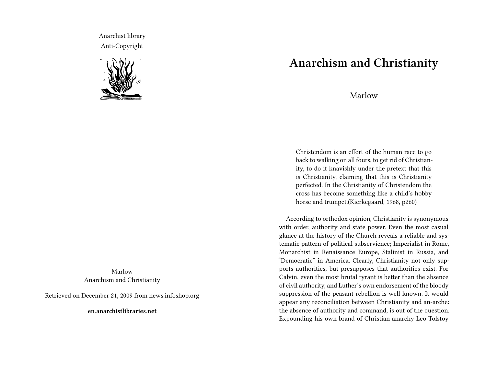Anarchist library Anti-Copyright



Marlow Anarchism and Christianity

Retrieved on December 21, 2009 from news.infoshop.org

**en.anarchistlibraries.net**

## **Anarchism and Christianity**

Marlow

Christendom is an effort of the human race to go back to walking on all fours, to get rid of Christianity, to do it knavishly under the pretext that this is Christianity, claiming that this is Christianity perfected. In the Christianity of Christendom the cross has become something like a child's hobby horse and trumpet.(Kierkegaard, 1968, p260)

According to orthodox opinion, Christianity is synonymous with order, authority and state power. Even the most casual glance at the history of the Church reveals a reliable and systematic pattern of political subservience; Imperialist in Rome, Monarchist in Renaissance Europe, Stalinist in Russia, and "Democratic" in America. Clearly, Christianity not only supports authorities, but presupposes that authorities exist. For Calvin, even the most brutal tyrant is better than the absence of civil authority, and Luther's own endorsement of the bloody suppression of the peasant rebellion is well known. It would appear any reconciliation between Christianity and an-arche: the absence of authority and command, is out of the question. Expounding his own brand of Christian anarchy Leo Tolstoy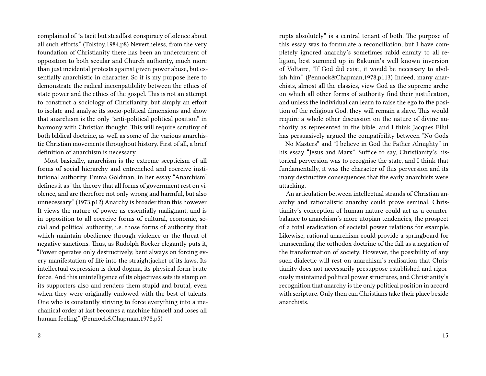complained of "a tacit but steadfast conspiracy of silence about all such efforts." (Tolstoy,1984,p8) Nevertheless, from the very foundation of Christianity there has been an undercurrent of opposition to both secular and Church authority, much more than just incidental protests against given power abuse, but essentially anarchistic in character. So it is my purpose here to demonstrate the radical incompatibility between the ethics of state power and the ethics of the gospel. This is not an attempt to construct a sociology of Christianity, but simply an effort to isolate and analyse its socio-political dimensions and show that anarchism is the only "anti-political political position" in harmony with Christian thought. This will require scrutiny of both biblical doctrine, as well as some of the various anarchistic Christian movements throughout history. First of all, a brief definition of anarchism is necessary.

Most basically, anarchism is the extreme scepticism of all forms of social hierarchy and entrenched and coercive institutional authority. Emma Goldman, in her essay "Anarchism" defines it as "the theory that all forms of government rest on violence, and are therefore not only wrong and harmful, but also unnecessary." (1973,p12) Anarchy is broader than this however. It views the nature of power as essentially malignant, and is in opposition to all coercive forms of cultural, economic, social and political authority, i.e. those forms of authority that which maintain obedience through violence or the threat of negative sanctions. Thus, as Rudolph Rocker elegantly puts it, "Power operates only destructively, bent always on forcing every manifestation of life into the straightjacket of its laws. Its intellectual expression is dead dogma, its physical form brute force. And this unintelligence of its objectives sets its stamp on its supporters also and renders them stupid and brutal, even when they were originally endowed with the best of talents. One who is constantly striving to force everything into a mechanical order at last becomes a machine himself and loses all human feeling." (Pennock&Chapman,1978,p5)

rupts absolutely" is a central tenant of both. The purpose of this essay was to formulate a reconciliation, but I have completely ignored anarchy's sometimes rabid enmity to all religion, best summed up in Bakunin's well known inversion of Voltaire, "If God did exist, it would be necessary to abolish him." (Pennock&Chapman,1978,p113) Indeed, many anarchists, almost all the classics, view God as the supreme arche on which all other forms of authority find their justification, and unless the individual can learn to raise the ego to the position of the religious God, they will remain a slave. This would require a whole other discussion on the nature of divine authority as represented in the bible, and I think Jacques Ellul has persuasively argued the compatibility between "No Gods — No Masters" and "I believe in God the Father Almighty" in his essay "Jesus and Marx". Suffice to say, Christianity's historical perversion was to recognise the state, and I think that fundamentally, it was the character of this perversion and its many destructive consequences that the early anarchists were attacking.

An articulation between intellectual strands of Christian anarchy and rationalistic anarchy could prove seminal. Christianity's conception of human nature could act as a counterbalance to anarchism's more utopian tendencies, the prospect of a total eradication of societal power relations for example. Likewise, rational anarchism could provide a springboard for transcending the orthodox doctrine of the fall as a negation of the transformation of society. However, the possibility of any such dialectic will rest on anarchism's realisation that Christianity does not necessarily presuppose established and rigorously maintained political power structures, and Christianity's recognition that anarchy is the only political position in accord with scripture. Only then can Christians take their place beside anarchists.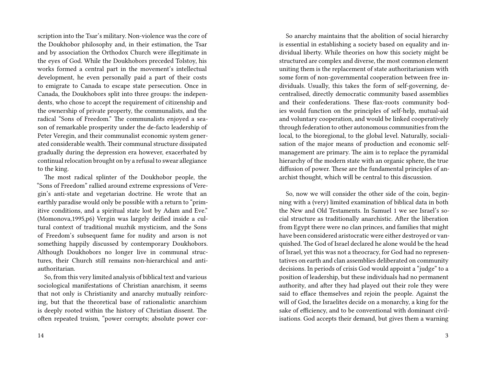scription into the Tsar's military. Non-violence was the core of the Doukhobor philosophy and, in their estimation, the Tsar and by association the Orthodox Church were illegitimate in the eyes of God. While the Doukhobors preceded Tolstoy, his works formed a central part in the movement's intellectual development, he even personally paid a part of their costs to emigrate to Canada to escape state persecution. Once in Canada, the Doukhobors split into three groups: the independents, who chose to accept the requirement of citizenship and the ownership of private property, the communalists, and the radical "Sons of Freedom." The communalists enjoyed a season of remarkable prosperity under the de-facto leadership of Peter Veregin, and their communalist economic system generated considerable wealth. Their communal structure dissipated gradually during the depression era however, exacerbated by continual relocation brought on by a refusal to swear allegiance to the king.

The most radical splinter of the Doukhobor people, the "Sons of Freedom" rallied around extreme expressions of Veregin's anti-state and vegetarian doctrine. He wrote that an earthly paradise would only be possible with a return to "primitive conditions, and a spiritual state lost by Adam and Eve." (Momonova,1995,p6) Vergin was largely deified inside a cultural context of traditional muzhik mysticism, and the Sons of Freedom's subsequent fame for nudity and arson is not something happily discussed by contemporary Doukhobors. Although Doukhobors no longer live in communal structures, their Church still remains non-hierarchical and antiauthoritarian.

So, from this very limited analysis of biblical text and various sociological manifestations of Christian anarchism, it seems that not only is Christianity and anarchy mutually reinforcing, but that the theoretical base of rationalistic anarchism is deeply rooted within the history of Christian dissent. The often repeated truism, "power corrupts; absolute power cor-

So anarchy maintains that the abolition of social hierarchy is essential in establishing a society based on equality and individual liberty. While theories on how this society might be structured are complex and diverse, the most common element uniting them is the replacement of state authoritarianism with some form of non-governmental cooperation between free individuals. Usually, this takes the form of self-governing, decentralised, directly democratic community based assemblies and their confederations. These flax-roots community bodies would function on the principles of self-help, mutual-aid and voluntary cooperation, and would be linked cooperatively through federation to other autonomous communities from the local, to the bioregional, to the global level. Naturally, socialisation of the major means of production and economic selfmanagement are primary. The aim is to replace the pyramidal hierarchy of the modern state with an organic sphere, the true diffusion of power. These are the fundamental principles of anarchist thought, which will be central to this discussion.

So, now we will consider the other side of the coin, beginning with a (very) limited examination of biblical data in both the New and Old Testaments. In Samuel 1 we see Israel's social structure as traditionally anarchistic. After the liberation from Egypt there were no clan princes, and families that might have been considered aristocratic were either destroyed or vanquished. The God of Israel declared he alone would be the head of Israel, yet this was not a theocracy, for God had no representatives on earth and clan assemblies deliberated on community decisions. In periods of crisis God would appoint a "judge" to a position of leadership, but these individuals had no permanent authority, and after they had played out their role they were said to efface themselves and rejoin the people. Against the will of God, the Israelites decide on a monarchy, a king for the sake of efficiency, and to be conventional with dominant civilisations. God accepts their demand, but gives them a warning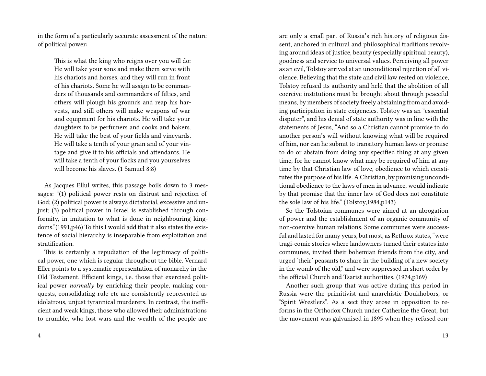in the form of a particularly accurate assessment of the nature of political power:

This is what the king who reigns over you will do: He will take your sons and make them serve with his chariots and horses, and they will run in front of his chariots. Some he will assign to be commanders of thousands and commanders of fifties, and others will plough his grounds and reap his harvests, and still others will make weapons of war and equipment for his chariots. He will take your daughters to be perfumers and cooks and bakers. He will take the best of your fields and vineyards. He will take a tenth of your grain and of your vintage and give it to his officials and attendants. He will take a tenth of your flocks and you yourselves will become his slaves. (1 Samuel 8:8)

As Jacques Ellul writes, this passage boils down to 3 messages: "(1) political power rests on distrust and rejection of God; (2) political power is always dictatorial, excessive and unjust; (3) political power in Israel is established through conformity, in imitation to what is done in neighbouring kingdoms."(1991,p46) To this I would add that it also states the existence of social hierarchy is inseparable from exploitation and stratification.

This is certainly a repudiation of the legitimacy of political power, one which is regular throughout the bible. Vernard Eller points to a systematic representation of monarchy in the Old Testament. Efficient kings, i.e. those that exercised political power *normally* by enriching their people, making conquests, consolidating rule etc are consistently represented as idolatrous, unjust tyrannical murderers. In contrast, the inefficient and weak kings, those who allowed their administrations to crumble, who lost wars and the wealth of the people are

are only a small part of Russia's rich history of religious dissent, anchored in cultural and philosophical traditions revolving around ideas of justice, beauty (especially spiritual beauty), goodness and service to universal values. Perceiving all power as an evil, Tolstoy arrived at an unconditional rejection of all violence. Believing that the state and civil law rested on violence, Tolstoy refused its authority and held that the abolition of all coercive institutions must be brought about through peaceful means, by members of society freely abstaining from and avoiding participation in state exigencies. Tolstoy was an "essential disputer", and his denial of state authority was in line with the statements of Jesus, "And so a Christian cannot promise to do another person's will without knowing what will be required of him, nor can he submit to transitory human laws or promise to do or abstain from doing any specified thing at any given time, for he cannot know what may be required of him at any time by that Christian law of love, obedience to which constitutes the purpose of his life. A Christian, by promising unconditional obedience to the laws of men in advance, would indicate by that promise that the inner law of God does not constitute the sole law of his life." (Tolstoy,1984,p143)

So the Tolstoian communes were aimed at an abrogation of power and the establishment of an organic community of non-coercive human relations. Some communes were successful and lasted for many years, but most, as Rethrox states, "were tragi-comic stories where landowners turned their estates into communes, invited their bohemian friends from the city, and urged 'their' peasants to share in the building of a new society in the womb of the old," and were suppressed in short order by the official Church and Tsarist authorities. (1974,p169)

Another such group that was active during this period in Russia were the primitivist and anarchistic Doukhobors, or "Spirit Wrestlers". As a sect they arose in opposition to reforms in the Orthodox Church under Catherine the Great, but the movement was galvanised in 1895 when they refused con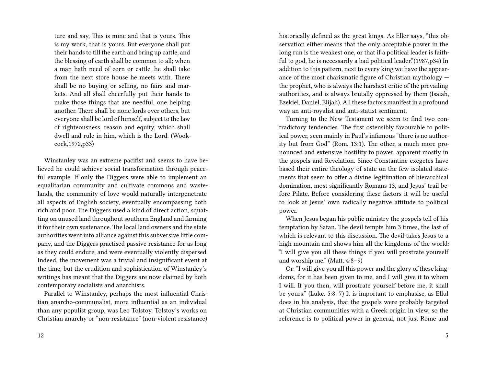ture and say, This is mine and that is yours. This is my work, that is yours. But everyone shall put their hands to till the earth and bring up cattle, and the blessing of earth shall be common to all; when a man hath need of corn or cattle, he shall take from the next store house he meets with. There shall be no buying or selling, no fairs and markets. And all shall cheerfully put their hands to make those things that are needful, one helping another. There shall be none lords over others, but everyone shall be lord of himself, subject to the law of righteousness, reason and equity, which shall dwell and rule in him, which is the Lord. (Wookcock,1972,p33)

Winstanley was an extreme pacifist and seems to have believed he could achieve social transformation through peaceful example. If only the Diggers were able to implement an equalitarian community and cultivate commons and wastelands, the community of love would naturally interpenetrate all aspects of English society, eventually encompassing both rich and poor. The Diggers used a kind of direct action, squatting on unused land throughout southern England and farming it for their own sustenance. The local land owners and the state authorities went into alliance against this subversive little company, and the Diggers practised passive resistance for as long as they could endure, and were eventually violently dispersed. Indeed, the movement was a trivial and insignificant event at the time, but the erudition and sophistication of Winstanley's writings has meant that the Diggers are now claimed by both contemporary socialists and anarchists.

Parallel to Winstanley, perhaps the most influential Christian anarcho-communalist, more influential as an individual than any populist group, was Leo Tolstoy. Tolstoy's works on Christian anarchy or "non-resistance" (non-violent resistance) historically defined as the great kings. As Eller says, "this observation either means that the only acceptable power in the long run is the weakest one, or that if a political leader is faithful to god, he is necessarily a bad political leader."(1987,p34) In addition to this pattern, next to every king we have the appearance of the most charismatic figure of Christian mythology the prophet, who is always the harshest critic of the prevailing authorities, and is always brutally oppressed by them (Isaiah, Ezekiel, Daniel, Elijah). All these factors manifest in a profound way an anti-royalist and anti-statist sentiment.

Turning to the New Testament we seem to find two contradictory tendencies. The first ostensibly favourable to political power, seen mainly in Paul's infamous "there is no authority but from God" (Rom. 13:1). The other, a much more pronounced and extensive hostility to power, apparent mostly in the gospels and Revelation. Since Constantine exegetes have based their entire theology of state on the few isolated statements that seem to offer a divine legitimation of hierarchical domination, most significantly Romans 13, and Jesus' trail before Pilate. Before considering these factors it will be useful to look at Jesus' own radically negative attitude to political power.

When Jesus began his public ministry the gospels tell of his temptation by Satan. The devil tempts him 3 times, the last of which is relevant to this discussion. The devil takes Jesus to a high mountain and shows him all the kingdoms of the world: "I will give you all these things if you will prostrate yourself and worship me." (Matt. 4:8–9)

Or: "I will give you all this power and the glory of these kingdoms, for it has been given to me, and I will give it to whom I will. If you then, will prostrate yourself before me, it shall be yours." (Luke. 5:8–7) It is important to emphasise, as Ellul does in his analysis, that the gospels were probably targeted at Christian communities with a Greek origin in view, so the reference is to political power in general, not just Rome and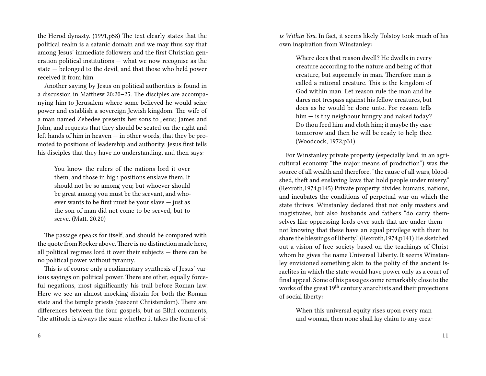the Herod dynasty. (1991,p58) The text clearly states that the political realm is a satanic domain and we may thus say that among Jesus' immediate followers and the first Christian generation political institutions — what we now recognise as the state — belonged to the devil, and that those who held power received it from him.

Another saying by Jesus on political authorities is found in a discussion in Matthew 20:20–25. The disciples are accompanying him to Jerusalem where some believed he would seize power and establish a sovereign Jewish kingdom. The wife of a man named Zebedee presents her sons to Jesus; James and John, and requests that they should be seated on the right and left hands of him in heaven — in other words, that they be promoted to positions of leadership and authority. Jesus first tells his disciples that they have no understanding, and then says:

You know the rulers of the nations lord it over them, and those in high positions enslave them. It should not be so among you; but whoever should be great among you must be the servant, and whoever wants to be first must be your slave — just as the son of man did not come to be served, but to serve. (Matt. 20.20)

The passage speaks for itself, and should be compared with the quote from Rocker above. There is no distinction made here, all political regimes lord it over their subjects — there can be no political power without tyranny.

This is of course only a rudimentary synthesis of Jesus' various sayings on political power. There are other, equally forceful negations, most significantly his trail before Roman law. Here we see an almost mocking distain for both the Roman state and the temple priests (nascent Christendom). There are differences between the four gospels, but as Ellul comments, "the attitude is always the same whether it takes the form of si-

6

*is Within You*. In fact, it seems likely Tolstoy took much of his own inspiration from Winstanley:

Where does that reason dwell? He dwells in every creature according to the nature and being of that creature, but supremely in man. Therefore man is called a rational creature. This is the kingdom of God within man. Let reason rule the man and he dares not trespass against his fellow creatures, but does as he would be done unto. For reason tells him — is thy neighbour hungry and naked today? Do thou feed him and cloth him; it maybe thy case tomorrow and then he will be ready to help thee. (Woodcock, 1972,p31)

For Winstanley private property (especially land, in an agricultural economy "the major means of production") was the source of all wealth and therefore, "the cause of all wars, bloodshed, theft and enslaving laws that hold people under misery." (Rexroth,1974,p145) Private property divides humans, nations, and incubates the conditions of perpetual war on which the state thrives. Winstanley declared that not only masters and magistrates, but also husbands and fathers "do carry themselves like oppressing lords over such that are under them not knowing that these have an equal privilege with them to share the blessings of liberty." (Rexroth,1974,p141) He sketched out a vision of free society based on the teachings of Christ whom he gives the name Universal Liberty. It seems Winstanley envisioned something akin to the polity of the ancient Israelites in which the state would have power only as a court of final appeal. Some of his passages come remarkably close to the works of the great 19<sup>th</sup> century anarchists and their projections of social liberty:

When this universal equity rises upon every man and woman, then none shall lay claim to any crea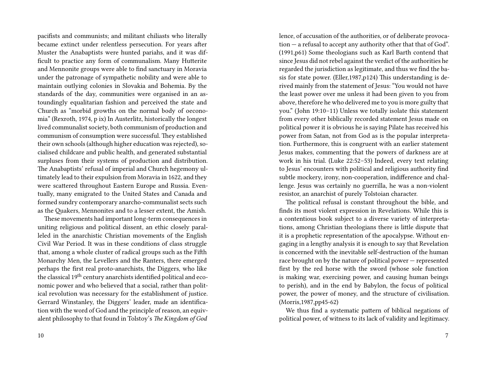pacifists and communists; and militant chiliasts who literally became extinct under relentless persecution. For years after Muster the Anabaptists were hunted pariahs, and it was difficult to practice any form of communalism. Many Hutterite and Mennonite groups were able to find sanctuary in Moravia under the patronage of sympathetic nobility and were able to maintain outlying colonies in Slovakia and Bohemia. By the standards of the day, communities were organised in an astoundingly equalitarian fashion and perceived the state and Church as "morbid growths on the normal body of oeconomia" (Rexroth, 1974, p ix) In Austerlitz, historically the longest lived communalist society, both communism of production and communism of consumption were successful. They established their own schools (although higher education was rejected), socialised childcare and public health, and generated substantial surpluses from their systems of production and distribution. The Anabaptists' refusal of imperial and Church hegemony ultimately lead to their expulsion from Moravia in 1622, and they were scattered throughout Eastern Europe and Russia. Eventually, many emigrated to the United States and Canada and formed sundry contemporary anarcho-communalist sects such as the Quakers, Mennonites and to a lesser extent, the Amish.

These movements had important long-term consequences in uniting religious and political dissent, an ethic closely paralleled in the anarchistic Christian movements of the English Civil War Period. It was in these conditions of class struggle that, among a whole cluster of radical groups such as the Fifth Monarchy Men, the Levellers and the Ranters, there emerged perhaps the first real proto-anarchists, the Diggers, who like the classical 19<sup>th</sup> century anarchists identified political and economic power and who believed that a social, rather than political revolution was necessary for the establishment of justice. Gerrard Winstanley, the Diggers' leader, made an identification with the word of God and the principle of reason, an equivalent philosophy to that found in Tolstoy's *The Kingdom of God*

lence, of accusation of the authorities, or of deliberate provocation — a refusal to accept any authority other that that of God". (1991,p61) Some theologians such as Karl Barth contend that since Jesus did not rebel against the verdict of the authorities he regarded the jurisdiction as legitimate, and thus we find the basis for state power. (Eller,1987,p124) This understanding is derived mainly from the statement of Jesus: "You would not have the least power over me unless it had been given to you from above, therefore he who delivered me to you is more guilty that you." (John 19:10–11) Unless we totally isolate this statement from every other biblically recorded statement Jesus made on political power it is obvious he is saying Pilate has received his power from Satan, not from God as is the popular interpretation. Furthermore, this is congruent with an earlier statement Jesus makes, commenting that the powers of darkness are at work in his trial. (Luke 22:52–53) Indeed, every text relating to Jesus' encounters with political and religious authority find subtle mockery, irony, non-cooperation, indifference and challenge. Jesus was certainly no guerrilla, he was a non-violent resistor, an anarchist of purely Tolstoian character.

The political refusal is constant throughout the bible, and finds its most violent expression in Revelations. While this is a contentious book subject to a diverse variety of interpretations, among Christian theologians there is little dispute that it is a prophetic representation of the apocalypse. Without engaging in a lengthy analysis it is enough to say that Revelation is concerned with the inevitable self-destruction of the human race brought on by the nature of political power — represented first by the red horse with the sword (whose sole function is making war, exercising power, and causing human beings to perish), and in the end by Babylon, the focus of political power, the power of money, and the structure of civilisation. (Morris,1987,pp45-62)

We thus find a systematic pattern of biblical negations of political power, of witness to its lack of validity and legitimacy.